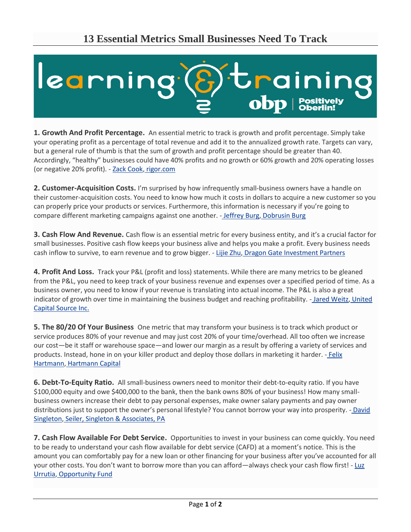

**1. Growth And Profit Percentage.** An essential metric to track is growth and profit percentage. Simply take your operating profit as a percentage of total revenue and add it to the annualized growth rate. Targets can vary, but a general rule of thumb is that the sum of growth and profit percentage should be greater than 40. Accordingly, "healthy" businesses could have 40% profits and no growth or 60% growth and 20% operating losses (or negative 20% profit). - [Zack Cook,](https://www.linkedin.com/in/zack-cook-a23a2077/) [rigor.com](http://www.rigor.com/)

**2. Customer-Acquisition Costs.** I'm surprised by how infrequently small-business owners have a handle on their customer-acquisition costs. You need to know how much it costs in dollars to acquire a new customer so you can properly price your products or services. Furthermore, this information is necessary if you're going to compare different marketing campaigns against one another. - [Jeffrey Burg,](https://twitter.com/jeffreyburg) [Dobrusin Burg](http://dobrusinburg.com/)

**3. Cash Flow And Revenue.** Cash flow is an essential metric for every business entity, and it's a crucial factor for small businesses. Positive cash flow keeps your business alive and helps you make a profit. Every business needs cash inflow to survive, to earn revenue and to grow bigger. - [Lijie Zhu,](https://www.linkedin.com/in/lijiezhu/) [Dragon Gate Investment Partners](http://www.dgipl.com/)

**4. Profit And Loss.** Track your P&L (profit and loss) statements. While there are many metrics to be gleaned from the P&L, you need to keep track of your business revenue and expenses over a specified period of time. As a business owner, you need to know if your revenue is translating into actual income. The P&L is also a great indicator of growth over time in maintaining the business budget and reaching profitability. - [Jared Weitz,](https://twitter.com/JaredWeitz) United [Capital Source Inc.](https://www.unitedcapitalsource.com/)

**5. The 80/20 Of Your Business** One metric that may transform your business is to track which product or service produces 80% of your revenue and may just cost 20% of your time/overhead. All too often we increase our cost—be it staff or warehouse space—and lower our margin as a result by offering a variety of services and products. Instead, hone in on your killer product and deploy those dollars in marketing it harder. - [Felix](https://twitter.com/felixohartmann)  [Hartmann,](https://twitter.com/felixohartmann) [Hartmann Capital](http://www.hartmann-capital.com/)

**6. Debt-To-Equity Ratio.** All small-business owners need to monitor their debt-to-equity ratio. If you have \$100,000 equity and owe \$400,000 to the bank, then the bank owns 80% of your business! How many smallbusiness owners increase their debt to pay personal expenses, make owner salary payments and pay owner distributions just to support the owner's personal lifestyle? You cannot borrow your way into prosperity. - David [Singleton,](https://twitter.com/singletondavidf) [Seiler, Singleton & Associates, PA](http://www.seilersingleton.com/)

**7. Cash Flow Available For Debt Service.** Opportunities to invest in your business can come quickly. You need to be ready to understand your cash flow available for debt service (CAFD) at a moment's notice. This is the amount you can comfortably pay for a new loan or other financing for your business after you've accounted for all your other costs. You don't want to borrow more than you can afford—always check your cash flow first! - Luz [Urrutia,](https://www.linkedin.com/in/luz-urrutia/) [Opportunity Fund](http://www.opportunityfund.org/)